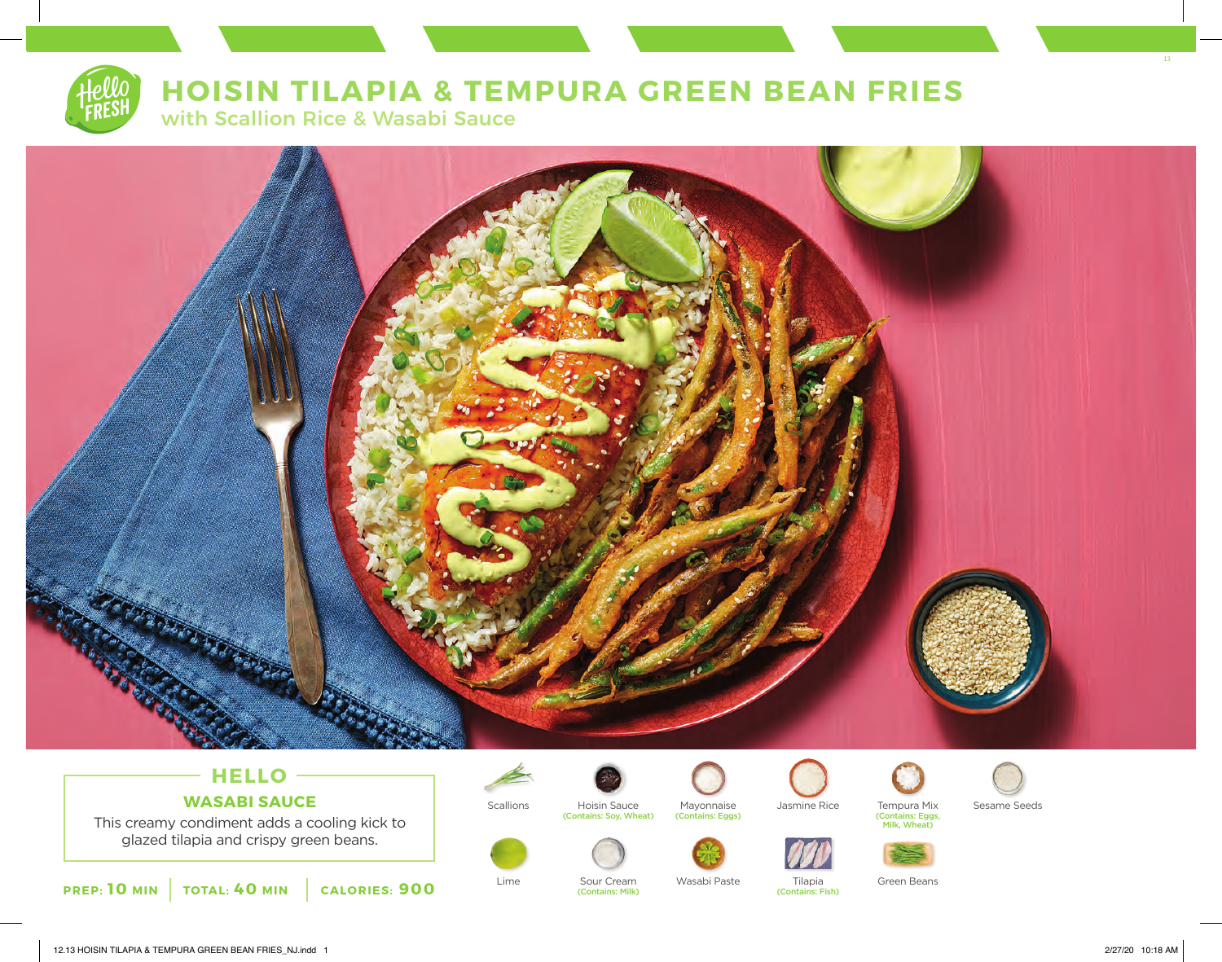

# **HOISIN TILAPIA & TEMPURA GREEN BEAN FRIES**

with Scallion Rice & Wasabi Sauce



## **HELLO WASABI SAUCE**

This creamy condiment adds a cooling kick to glazed tilapia and crispy green beans.







(Contains: Milk)







(Contains: Fish)



(Contains: Eggs, Milk, Wheat)







13